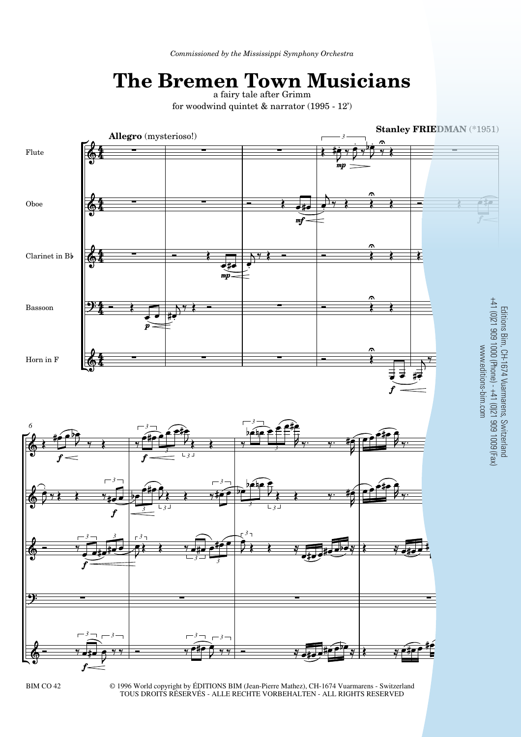## **The Bremen Town Musicians** a fairy tale after Grimm

for woodwind quintet & narrator (1995 - 12')



© 1996 World copyright by ÉDITIONS BIM (Jean-Pierre Mathez), CH-1674 Vuarmarens - Switzerland TOUS DROITS RÉSERVÉS - ALLE RECHTE VORBEHALTEN - ALL RIGHTS RESERVED BIM CO 42 © 1996 World copyright by EDITIONS BIM (Jean-Pierre Mathez), CH-1674 Vuarmarens - Switzerland

Editions Bim, CH-1674 Vuarmarens, Switzerland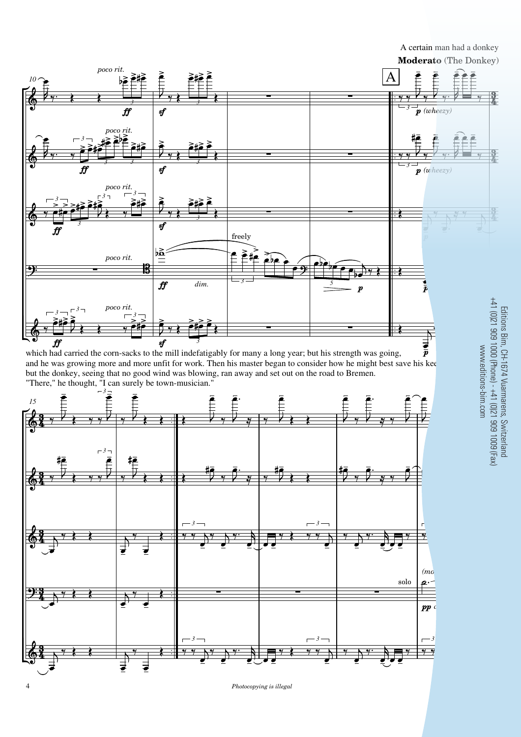

which had carried the corn-sacks to the mill indefatigably for many a long year; but his strength was going,  $\bar{p}$ and he was growing more and more unfit for work. Then his master began to consider how he might best save his kee but the donkey, seeing that no good wind was blowing, ran away and set out on the road to Bremen. "There," he thought, "I can surely be town-musician."



## Editions Bim, CH-1674 Vuarmarens, Switzerland<br>+41 (0)21 909 1000 (Phone) - +41 (0)21 909 1009 (Fax)<br>www.editions-bim.com +41 (0)21 909 1000 (Phone) - +41 (0)21 909 1009 (Fax) Editions Bim, CH-1674 Vuarmarens, Switzerland www.editions-bim.com

A certain man had a donkey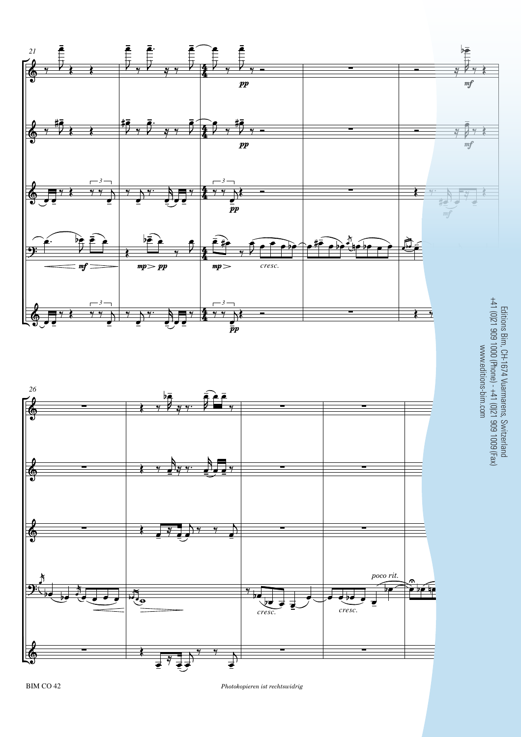

BIM CO 42 *Photokopieren ist rechtswidrig* 5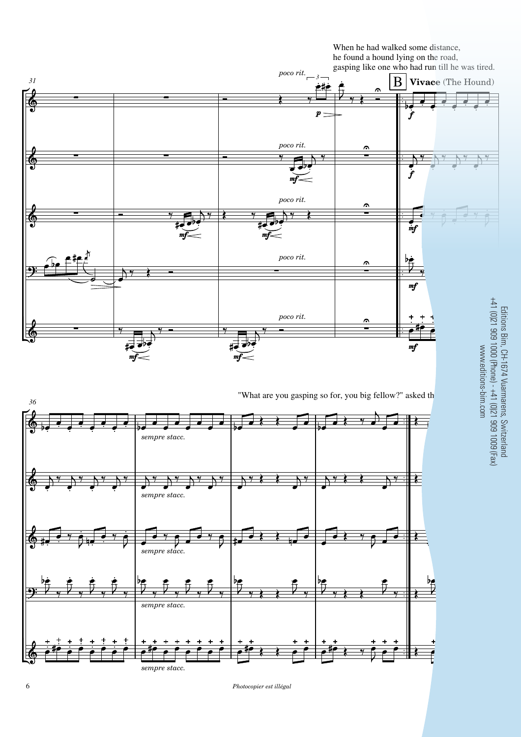

"What are you gasping so for, you big fellow?" asked th



Editions Bim, CH-1674 Vuarmarens, Switzerland<br>+41 (0)21 909 1000 (Phone) - +41 (0)21 909 1009 (Fax)<br>www.editions-bim.com +41 (0)21 909 1000 (Phone) - +41 (0)21 909 1009 (Fax) Editions Bim, CH-1674 Vuarmarens, Switzerland www.editions-bim.com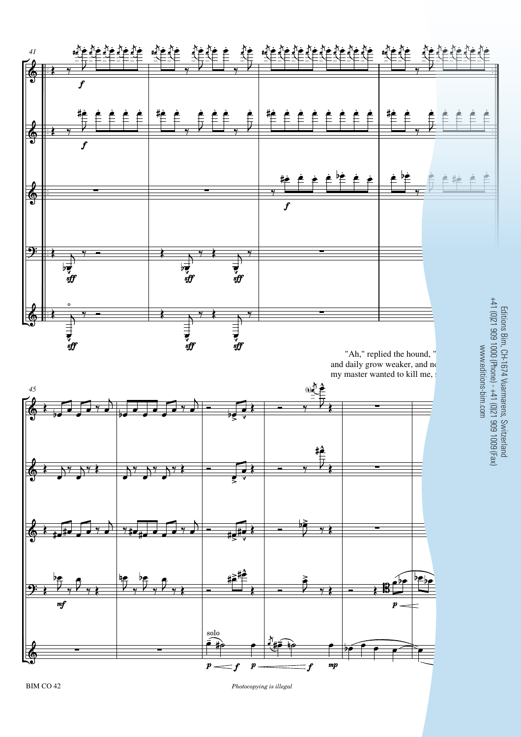

BIM CO 42

*Photocopying is illegal*

Editions Bim, CH-1674 Vuarmarens, Switzerland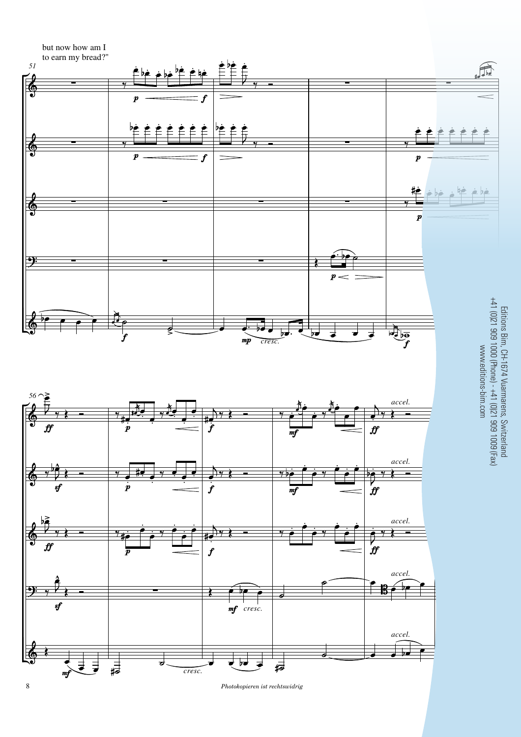

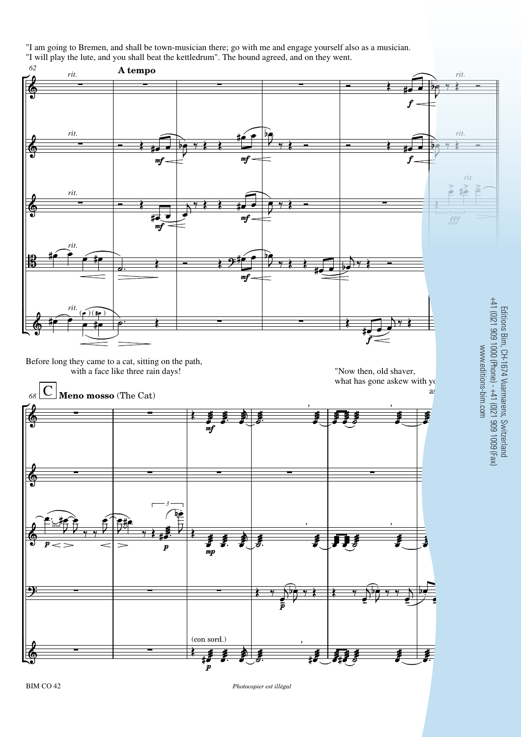"I am going to Bremen, and shall be town-musician there; go with me and engage yourself also as a musician.

"I will play the lute, and you shall beat the kettledrum". The hound agreed, and on they went.



Editions Bim, CH-1674 Vuarmarens, Switzerland

BIM CO 42 *Photocopier est illégal* 9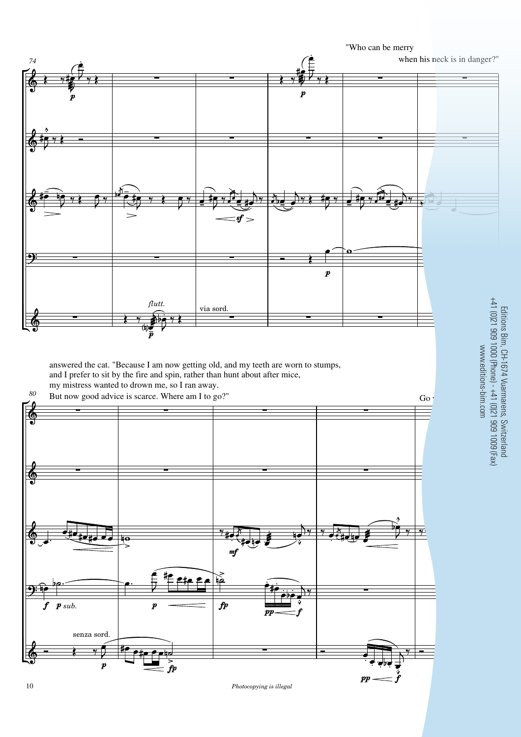

Editions Bim, CH-1674 Vuarmarens, Switzerland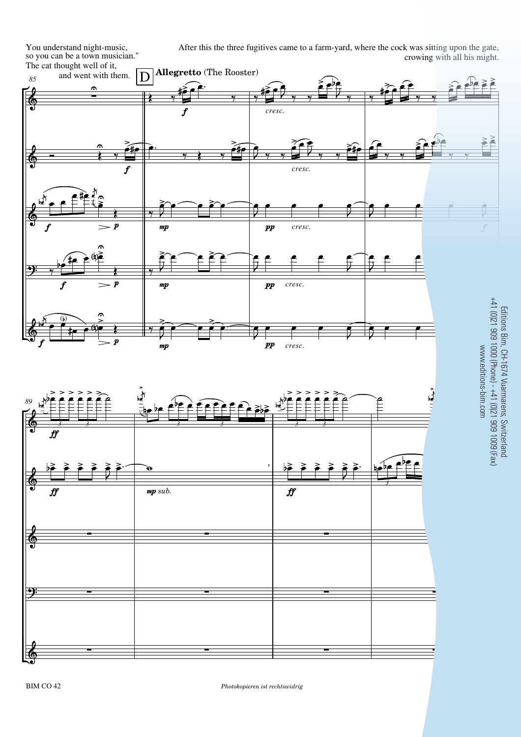After this the three fugitives came to a farm-yard, where the cock was sitting upon the gate, crowing with all his might.

Editions Bim, CH-1674 Vuarmarens, Switzerland

The cat thought well of it,<br> $\frac{85}{100}$  and went with them.  $\frac{85}{85}$  and went with them.  $\boxed{D}$  **Allegretto** (The Rooster)

You understand night-music, so you can be a town musician."

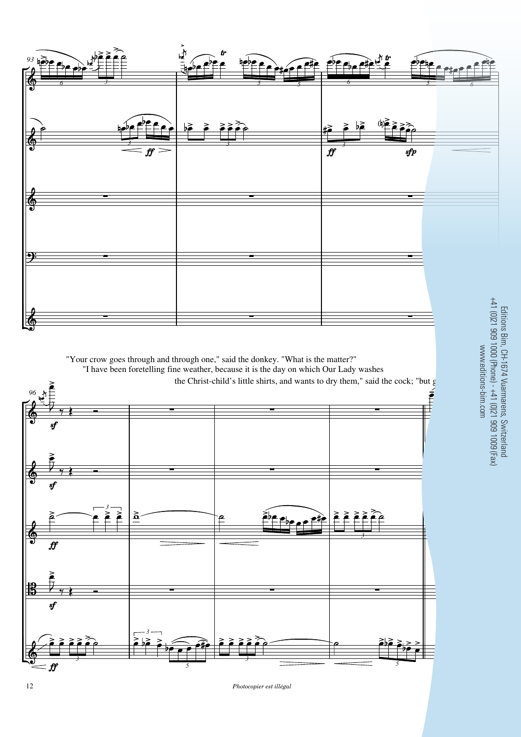

*Photocopier est illégal*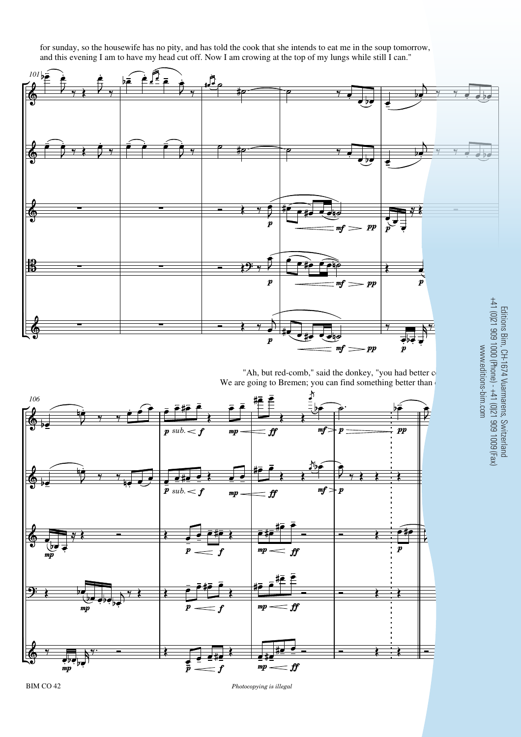for sunday, so the housewife has no pity, and has told the cook that she intends to eat me in the soup tomorrow, and this evening I am to have my head cut off. Now I am crowing at the top of my lungs while still I can."



We are going to Bremen; you can find something better than